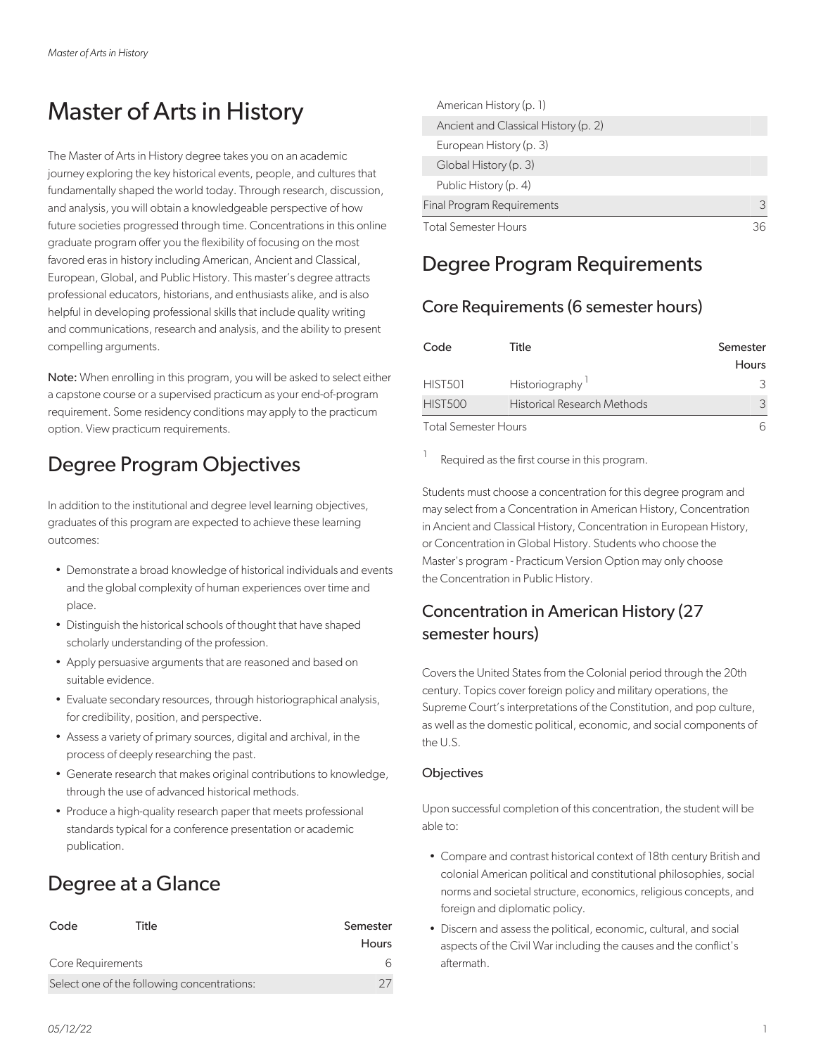# Master of Arts in History

The Master of Arts in History degree takes you on an academic journey exploring the key historical events, people, and cultures that fundamentally shaped the world today. Through research, discussion, and analysis, you will obtain a knowledgeable perspective of how future societies progressed through time. Concentrations in this online graduate program offer you the flexibility of focusing on the most favored eras in history including American, Ancient and Classical, European, Global, and Public History. This master's degree attracts professional educators, historians, and enthusiasts alike, and is also helpful in developing professional skills that include quality writing and communications, research and analysis, and the ability to present compelling arguments.

Note: When enrolling in this program, you will be asked to select either a capstone course or a supervised practicum as your end-of-program requirement. Some residency conditions may apply to the practicum option. View practicum requirements.

## Degree Program Objectives

In addition to the institutional and degree level learning objectives, graduates of this program are expected to achieve these learning outcomes:

- Demonstrate a broad knowledge of historical individuals and events and the global complexity of human experiences over time and place.
- Distinguish the historical schools of thought that have shaped scholarly understanding of the profession.
- Apply persuasive arguments that are reasoned and based on suitable evidence.
- Evaluate secondary resources, through historiographical analysis, for credibility, position, and perspective.
- Assess a variety of primary sources, digital and archival, in the process of deeply researching the past.
- Generate research that makes original contributions to knowledge, through the use of advanced historical methods.
- Produce a high-quality research paper that meets professional standards typical for a conference presentation or academic publication.

## Degree at a Glance

| Code              | Title                                       | Semester |
|-------------------|---------------------------------------------|----------|
|                   |                                             | Hours    |
| Core Requirements |                                             | ีค       |
|                   | Select one of the following concentrations: |          |

| American History (p. 1)              |   |
|--------------------------------------|---|
| Ancient and Classical History (p. 2) |   |
| European History (p. 3)              |   |
| Global History (p. 3)                |   |
| Public History (p. 4)                |   |
| <b>Final Program Requirements</b>    | 3 |
| <b>Total Semester Hours</b>          |   |

### Degree Program Requirements

### Core Requirements (6 semester hours)

| Code                        | Title                       | Semester<br><b>Hours</b> |
|-----------------------------|-----------------------------|--------------------------|
| HIST501                     | Historiography              | 3                        |
| <b>HIST500</b>              | Historical Research Methods | 3                        |
| <b>Total Semester Hours</b> |                             |                          |

1 Required as the first course in this program.

Students must choose a concentration for this degree program and may select from a Concentration in American History, Concentration in Ancient and Classical History, Concentration in European History, or Concentration in Global History. Students who choose the Master's program - Practicum Version Option may only choose the Concentration in Public History.

### Concentration in American History (27 semester hours)

Covers the United States from the Colonial period through the 20th century. Topics cover foreign policy and military operations, the Supreme Court's interpretations of the Constitution, and pop culture, as well as the domestic political, economic, and social components of the U.S.

### **Objectives**

Upon successful completion of this concentration, the student will be able to:

- Compare and contrast historical context of 18th century British and colonial American political and constitutional philosophies, social norms and societal structure, economics, religious concepts, and foreign and diplomatic policy.
- Discern and assess the political, economic, cultural, and social aspects of the Civil War including the causes and the conflict's aftermath.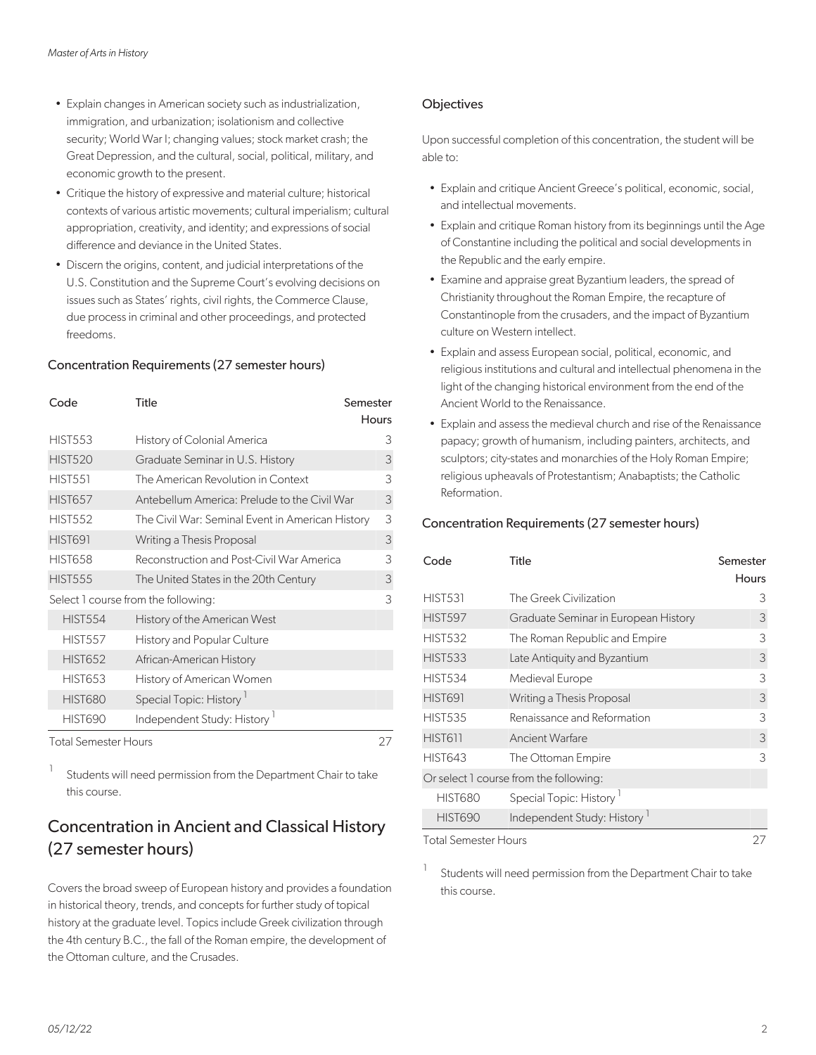- Explain changes in American society such as industrialization, immigration, and urbanization; isolationism and collective security; World War I; changing values; stock market crash; the Great Depression, and the cultural, social, political, military, and economic growth to the present.
- Critique the history of expressive and material culture; historical contexts of various artistic movements; cultural imperialism; cultural appropriation, creativity, and identity; and expressions of social difference and deviance in the United States.
- Discern the origins, content, and judicial interpretations of the U.S. Constitution and the Supreme Court's evolving decisions on issues such as States' rights, civil rights, the Commerce Clause, due process in criminal and other proceedings, and protected freedoms.

#### Concentration Requirements (27 semester hours)

| Code                        | Title<br>Semester                                |       |
|-----------------------------|--------------------------------------------------|-------|
|                             |                                                  | Hours |
| <b>HIST553</b>              | History of Colonial America                      | 3     |
| <b>HIST520</b>              | Graduate Seminar in U.S. History                 | 3     |
| <b>HIST551</b>              | The American Revolution in Context               | 3     |
| <b>HIST657</b>              | Antebellum America: Prelude to the Civil War     | 3     |
| <b>HIST552</b>              | The Civil War: Seminal Event in American History | 3     |
| <b>HIST691</b>              | Writing a Thesis Proposal                        | 3     |
| <b>HIST658</b>              | Reconstruction and Post-Civil War America        | 3     |
| <b>HIST555</b>              | The United States in the 20th Century            | 3     |
|                             | Select 1 course from the following:              | 3     |
| <b>HIST554</b>              | History of the American West                     |       |
| <b>HIST557</b>              | <b>History and Popular Culture</b>               |       |
| <b>HIST652</b>              | African-American History                         |       |
| <b>HIST653</b>              | History of American Women                        |       |
| <b>HIST680</b>              | Special Topic: History <sup>1</sup>              |       |
| <b>HIST690</b>              | Independent Study: History <sup>1</sup>          |       |
| <b>Total Semester Hours</b> |                                                  | 27    |

1 Students will need permission from the Department Chair to take this course.

### Concentration in Ancient and Classical History (27 semester hours)

Covers the broad sweep of European history and provides a foundation in historical theory, trends, and concepts for further study of topical history at the graduate level. Topics include Greek civilization through the 4th century B.C., the fall of the Roman empire, the development of the Ottoman culture, and the Crusades.

#### **Objectives**

Upon successful completion of this concentration, the student will be able to:

- Explain and critique Ancient Greece's political, economic, social, and intellectual movements.
- Explain and critique Roman history from its beginnings until the Age of Constantine including the political and social developments in the Republic and the early empire.
- Examine and appraise great Byzantium leaders, the spread of Christianity throughout the Roman Empire, the recapture of Constantinople from the crusaders, and the impact of Byzantium culture on Western intellect.
- Explain and assess European social, political, economic, and religious institutions and cultural and intellectual phenomena in the light of the changing historical environment from the end of the Ancient World to the Renaissance.
- Explain and assess the medieval church and rise of the Renaissance papacy; growth of humanism, including painters, architects, and sculptors; city-states and monarchies of the Holy Roman Empire; religious upheavals of Protestantism; Anabaptists; the Catholic Reformation.

#### Concentration Requirements (27 semester hours)

| Code                        | <b>Title</b>                           | Semester     |
|-----------------------------|----------------------------------------|--------------|
|                             |                                        | <b>Hours</b> |
| <b>HIST531</b>              | The Greek Civilization                 | 3            |
| <b>HIST597</b>              | Graduate Seminar in European History   | 3            |
| <b>HIST532</b>              | The Roman Republic and Empire          | 3            |
| <b>HIST533</b>              | Late Antiquity and Byzantium           | 3            |
| <b>HIST534</b>              | Medieval Europe                        | 3            |
| <b>HIST691</b>              | Writing a Thesis Proposal              | 3            |
| <b>HIST535</b>              | Renaissance and Reformation            | 3            |
| <b>HIST611</b>              | Ancient Warfare                        | 3            |
| <b>HIST643</b>              | The Ottoman Empire                     | 3            |
|                             | Or select 1 course from the following: |              |
| <b>HIST680</b>              | Special Topic: History <sup>1</sup>    |              |
| <b>HIST690</b>              | Independent Study: History             |              |
| <b>Total Semester Hours</b> |                                        | 27           |

1 Students will need permission from the Department Chair to take this course.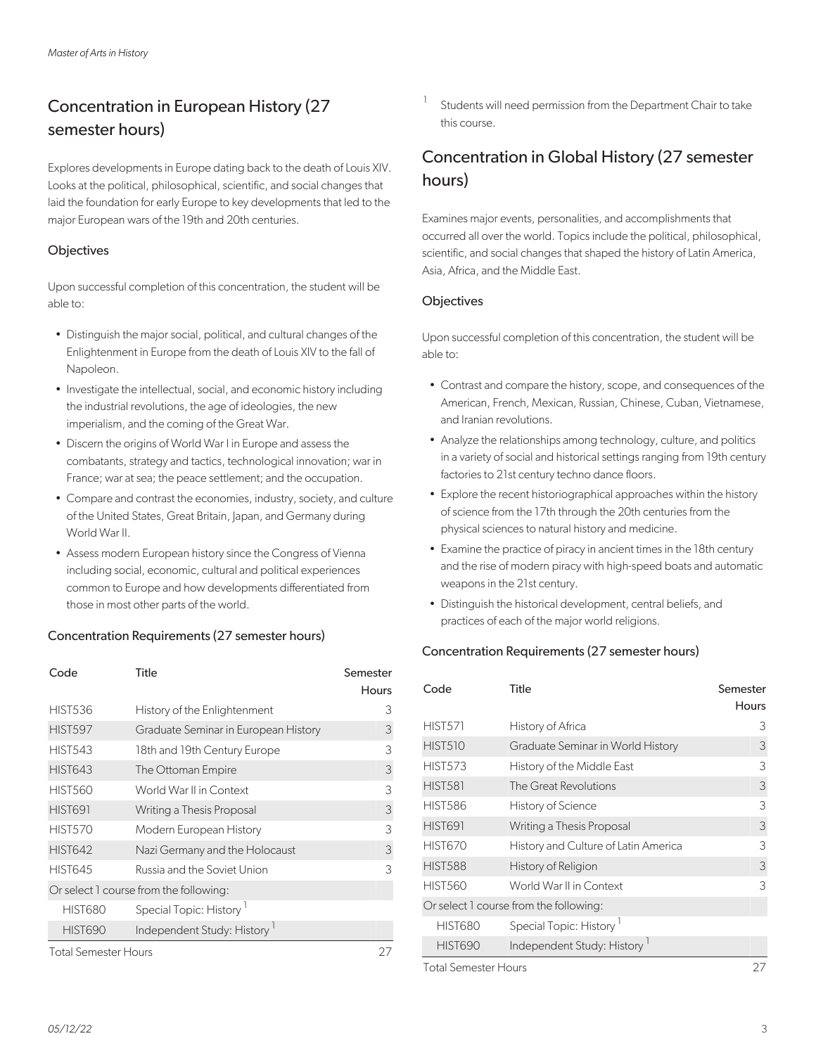### Concentration in European History (27 semester hours)

Explores developments in Europe dating back to the death of Louis XIV. Looks at the political, philosophical, scientific, and social changes that laid the foundation for early Europe to key developments that led to the major European wars of the 19th and 20th centuries.

#### **Objectives**

Upon successful completion of this concentration, the student will be able to:

- Distinguish the major social, political, and cultural changes of the Enlightenment in Europe from the death of Louis XIV to the fall of Napoleon.
- Investigate the intellectual, social, and economic history including the industrial revolutions, the age of ideologies, the new imperialism, and the coming of the Great War.
- Discern the origins of World War I in Europe and assess the combatants, strategy and tactics, technological innovation; war in France; war at sea; the peace settlement; and the occupation.
- Compare and contrast the economies, industry, society, and culture of the United States, Great Britain, Japan, and Germany during World War II.
- Assess modern European history since the Congress of Vienna including social, economic, cultural and political experiences common to Europe and how developments differentiated from those in most other parts of the world.

#### Concentration Requirements (27 semester hours)

| Code                        | Title                                   | Semester |
|-----------------------------|-----------------------------------------|----------|
|                             |                                         | Hours    |
| <b>HIST536</b>              | History of the Enlightenment            | 3        |
| <b>HIST597</b>              | Graduate Seminar in European History    | 3        |
| <b>HIST543</b>              | 18th and 19th Century Europe            | 3        |
| <b>HIST643</b>              | The Ottoman Empire                      | 3        |
| <b>HIST560</b>              | World War II in Context                 | 3        |
| <b>HIST691</b>              | Writing a Thesis Proposal               | 3        |
| <b>HIST570</b>              | Modern European History                 | 3        |
| <b>HIST642</b>              | Nazi Germany and the Holocaust          | 3        |
| <b>HIST645</b>              | Russia and the Soviet Union             | 3        |
|                             | Or select 1 course from the following:  |          |
| <b>HIST680</b>              | Special Topic: History <sup>1</sup>     |          |
| <b>HIST690</b>              | Independent Study: History <sup>1</sup> |          |
| <b>Total Semester Hours</b> |                                         |          |

1 Students will need permission from the Department Chair to take this course.

### Concentration in Global History (27 semester hours)

Examines major events, personalities, and accomplishments that occurred all over the world. Topics include the political, philosophical, scientific, and social changes that shaped the history of Latin America, Asia, Africa, and the Middle East.

#### **Objectives**

Upon successful completion of this concentration, the student will be able to:

- Contrast and compare the history, scope, and consequences of the American, French, Mexican, Russian, Chinese, Cuban, Vietnamese, and Iranian revolutions.
- Analyze the relationships among technology, culture, and politics in a variety of social and historical settings ranging from 19th century factories to 21st century techno dance floors.
- Explore the recent historiographical approaches within the history of science from the 17th through the 20th centuries from the physical sciences to natural history and medicine.
- Examine the practice of piracy in ancient times in the 18th century and the rise of modern piracy with high-speed boats and automatic weapons in the 21st century.
- Distinguish the historical development, central beliefs, and practices of each of the major world religions.

### Concentration Requirements (27 semester hours)

| Code                 | Title                                  | Semester<br><b>Hours</b> |
|----------------------|----------------------------------------|--------------------------|
| <b>HIST571</b>       | History of Africa                      | 3                        |
| <b>HIST510</b>       | Graduate Seminar in World History      | 3                        |
| <b>HIST573</b>       | History of the Middle East             | 3                        |
| <b>HIST581</b>       | The Great Revolutions                  | 3                        |
| <b>HIST586</b>       | History of Science                     | 3                        |
| <b>HIST691</b>       | Writing a Thesis Proposal              | 3                        |
| <b>HIST670</b>       | History and Culture of Latin America   | 3                        |
| <b>HIST588</b>       | History of Religion                    | 3                        |
| <b>HIST560</b>       | World War II in Context                | 3                        |
|                      | Or select 1 course from the following: |                          |
| <b>HIST680</b>       | Special Topic: History <sup>1</sup>    |                          |
| <b>HIST690</b>       | Independent Study: History             |                          |
| Total Semester Hours |                                        | 27                       |